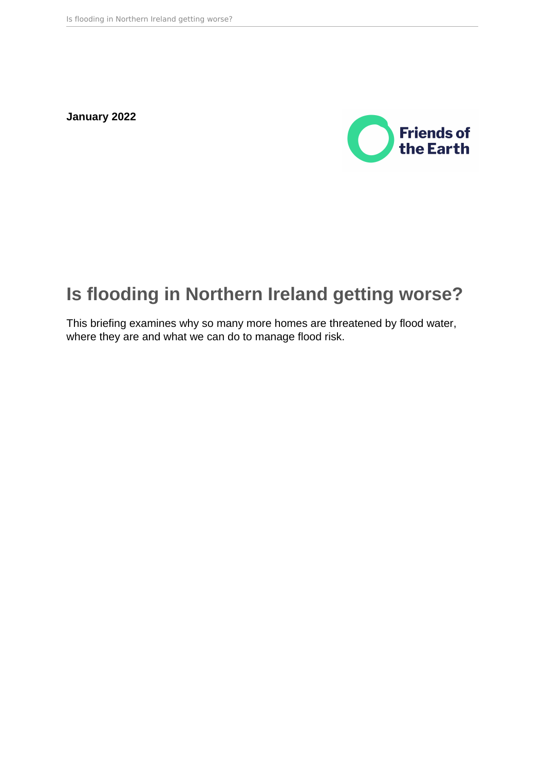**January 2022**



# **Is flooding in Northern Ireland getting worse?**

This briefing examines why so many more homes are threatened by flood water, where they are and what we can do to manage flood risk.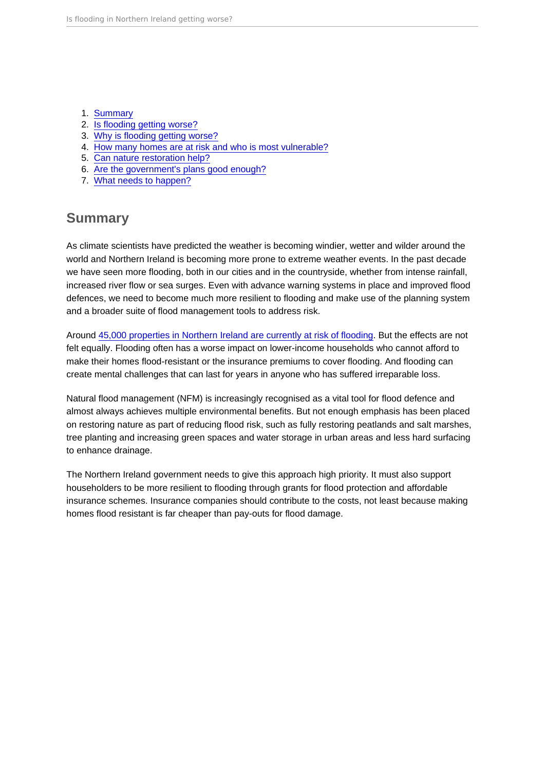- 1. Summary
- 2. [Is flooding getting worse?](#page-2-0)
- 3. [Why is flooding getting worse?](#page-3-0)
- 4. [How many homes are at risk and who is most vulnerable?](#page-4-0)
- 5. [Can nature restoration help?](#page-4-0)
- 6. [Are the government's plans good enough?](#page-6-0)
- 7. [What needs to happen?](#page-10-0)

## **Summary**

As climate scientists have predicted the weather is becoming windier, wetter and wilder around the world and Northern Ireland is becoming more prone to extreme weather events. In the past decade we have seen more flooding, both in our cities and in the countryside, whether from intense rainfall, increased river flow or sea surges. Even with advance warning systems in place and improved flood defences, we need to become much more resilient to flooding and make use of the planning system and a broader suite of flood management tools to address risk.

Around [45,000 properties in Northern Ireland are currently at risk of flooding.](https://www.infrastructure-ni.gov.uk/sites/default/files/publications/infrastructure/northern-ireland-flood-risk-assessment-report-2018-updated-may2019.pdf) But the effects are not felt equally. Flooding often has a worse impact on lower-income households who cannot afford to make their homes flood-resistant or the insurance premiums to cover flooding. And flooding can create mental challenges that can last for years in anyone who has suffered irreparable loss.

Natural flood management (NFM) is increasingly recognised as a vital tool for flood defence and almost always achieves multiple environmental benefits. But not enough emphasis has been placed on restoring nature as part of reducing flood risk, such as fully restoring peatlands and salt marshes, tree planting and increasing green spaces and water storage in urban areas and less hard surfacing to enhance drainage.

The Northern Ireland government needs to give this approach high priority. It must also support householders to be more resilient to flooding through grants for flood protection and affordable insurance schemes. Insurance companies should contribute to the costs, not least because making homes flood resistant is far cheaper than pay-outs for flood damage.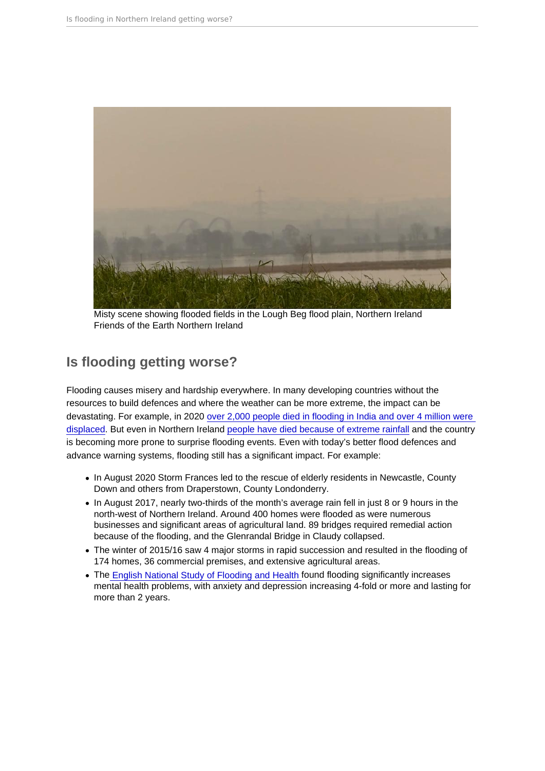<span id="page-2-0"></span>Misty scene showing flooded fields in the Lough Beg flood plain, Northern Ireland Friends of the Earth Northern Ireland

# Is flooding getting worse?

Flooding causes misery and hardship everywhere. In many developing countries without the resources to build defences and where the weather can be more extreme, the impact can be devastating. For example, in 2020 [over 2,000 people died in flooding in India and over 4 million were](https://mediacentre.christianaid.org.uk/extreme-weather-driven-by-climate-change-cost-the-world-billions-in-2020-report/)  [displaced.](https://mediacentre.christianaid.org.uk/extreme-weather-driven-by-climate-change-cost-the-world-billions-in-2020-report/) But even in Northern Ireland [people have died because of extreme rainfall](https://www.theguardian.com/uk/2009/aug/23/northern-ireland-flood-deaths-warning) and the country is becoming more prone to surprise flooding events. Even with today's better flood defences and advance warning systems, flooding still has a significant impact. For example:

- In August 2020 Storm Frances led to the rescue of elderly residents in Newcastle, County Down and others from Draperstown, County Londonderry.
- In August 2017, nearly two-thirds of the month's average rain fell in just 8 or 9 hours in the north-west of Northern Ireland. Around 400 homes were flooded as were numerous businesses and significant areas of agricultural land. 89 bridges required remedial action because of the flooding, and the Glenrandal Bridge in Claudy collapsed.
- The winter of 2015/16 saw 4 major storms in rapid succession and resulted in the flooding of 174 homes, 36 commercial premises, and extensive agricultural areas.
- The [English National Study of Flooding and Health](https://assets.publishing.service.gov.uk/government/uploads/system/uploads/attachment_data/file/872710/Summary_of_findings_NSFH_January_2020_Final_for_DsPH__3_.pdf#:~:text=The storms of winter 2013-14 brought the wettest,the London School of Hygiene and Tropical Medicine.) found flooding significantly increases mental health problems, with anxiety and depression increasing 4-fold or more and lasting for more than 2 years.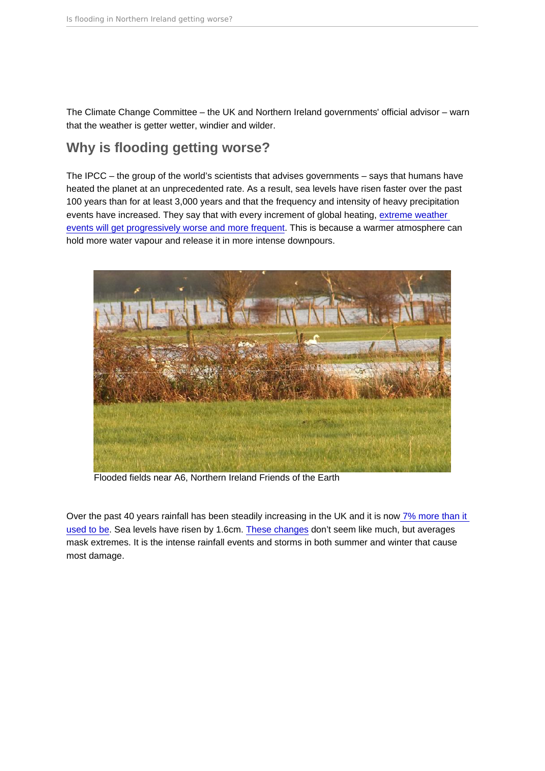<span id="page-3-0"></span>The Climate Change Committee – the UK and Northern Ireland governments' official advisor – warn that the weather is getter wetter, windier and wilder.

# Why is flooding getting worse?

The IPCC – the group of the world's scientists that advises governments – says that humans have heated the planet at an unprecedented rate. As a result, sea levels have risen faster over the past 100 years than for at least 3,000 years and that the frequency and intensity of heavy precipitation events have increased. They say that with every increment of global heating, [extreme weather](https://www.ipcc.ch/report/ar6/wg1/downloads/report/IPCC_AR6_WGI_SPM_final.pdf)  [events will get progressively worse and more frequent](https://www.ipcc.ch/report/ar6/wg1/downloads/report/IPCC_AR6_WGI_SPM_final.pdf). This is because a warmer atmosphere can hold more water vapour and release it in more intense downpours.

Flooded fields near A6, Northern Ireland Friends of the Earth

Over the past 40 years rainfall has been steadily increasing in the UK and it is no[w 7% more than it](https://www.metoffice.gov.uk/about-us/press-office/news/weather-and-climate/2021/9120-new-climate-normal)  [used to be](https://www.metoffice.gov.uk/about-us/press-office/news/weather-and-climate/2021/9120-new-climate-normal). Sea levels have risen by 1.6cm. [These changes](https://www.theccc.org.uk/wp-content/uploads/2021/07/Independent-Assessment-of-UK-Climate-Risk-Advice-to-Government-Charts-and-Data.xlsx) don't seem like much, but averages mask extremes. It is the intense rainfall events and storms in both summer and winter that cause most damage.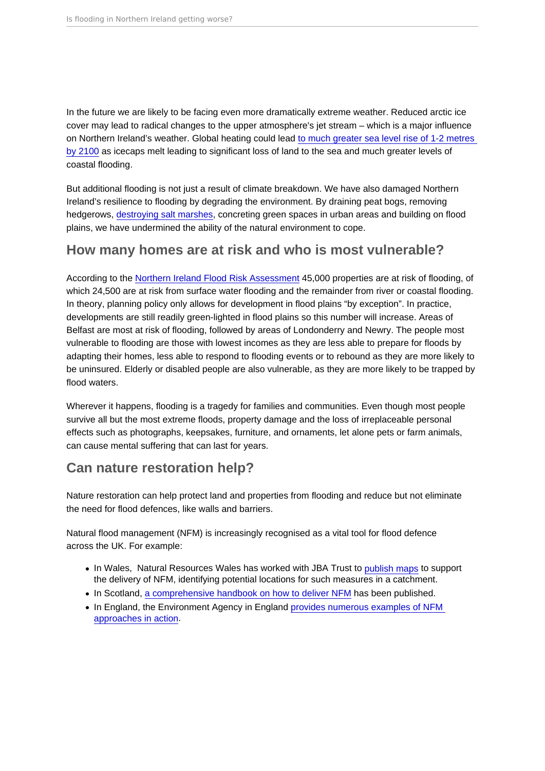<span id="page-4-0"></span>In the future we are likely to be facing even more dramatically extreme weather. Reduced arctic ice cover may lead to radical changes to the upper atmosphere's jet stream – which is a major influence on Northern Ireland's weather. Global heating could lead [to much greater sea level rise of 1-2 metres](https://www.theccc.org.uk/publication/independent-assessment-of-uk-climate-risk/)  [by 2100](https://www.theccc.org.uk/publication/independent-assessment-of-uk-climate-risk/) as icecaps melt leading to significant loss of land to the sea and much greater levels of coastal flooding.

But additional flooding is not just a result of climate breakdown. We have also damaged Northern Ireland's resilience to flooding by degrading the environment. By draining peat bogs, removing hedgerows, [destroying salt marshes,](https://www.daera-ni.gov.uk/sites/default/files/publications/doe/natural-plan-habitat-action-coastal-saltmarsh.pdf) concreting green spaces in urban areas and building on flood plains, we have undermined the ability of the natural environment to cope.

## How many homes are at risk and who is most vulnerable?

According to the [Northern Ireland Flood Risk Assessment](https://www.infrastructure-ni.gov.uk/sites/default/files/publications/infrastructure/northern-ireland-flood-risk-assessment-report-2018-updated-may2019.pdf) 45,000 properties are at risk of flooding, of which 24,500 are at risk from surface water flooding and the remainder from river or coastal flooding. In theory, planning policy only allows for development in flood plains "by exception". In practice, developments are still readily green-lighted in flood plains so this number will increase. Areas of Belfast are most at risk of flooding, followed by areas of Londonderry and Newry. The people most vulnerable to flooding are those with lowest incomes as they are less able to prepare for floods by adapting their homes, less able to respond to flooding events or to rebound as they are more likely to be uninsured. Elderly or disabled people are also vulnerable, as they are more likely to be trapped by flood waters.

Wherever it happens, flooding is a tragedy for families and communities. Even though most people survive all but the most extreme floods, property damage and the loss of irreplaceable personal effects such as photographs, keepsakes, furniture, and ornaments, let alone pets or farm animals, can cause mental suffering that can last for years.

## Can nature restoration help?

Nature restoration can help protect land and properties from flooding and reduce but not eliminate the need for flood defences, like walls and barriers.

Natural flood management (NFM) is increasingly recognised as a vital tool for flood defence across the UK. For example:

- In Wales. Natural Resources Wales has worked with JBA Trust to [publish maps](https://naturalresources.wales/flooding/managing-flood-risk/maps-for-natural-flood-management/?lang=en) to support the delivery of NFM, identifying potential locations for such measures in a catchment.
- In Scotland, [a comprehensive handbook on how to deliver NFM](https://www.sepa.org.uk/media/163560/sepa-natural-flood-management-handbook1.pdf) has been published.
- In England, the Environment Agency in England provides numerous examples of NFM [approaches in action.](https://assets.publishing.service.gov.uk/media/6036c730d3bf7f0aac939a47/Working_with_natural_processes_one_page_summaries.pdf)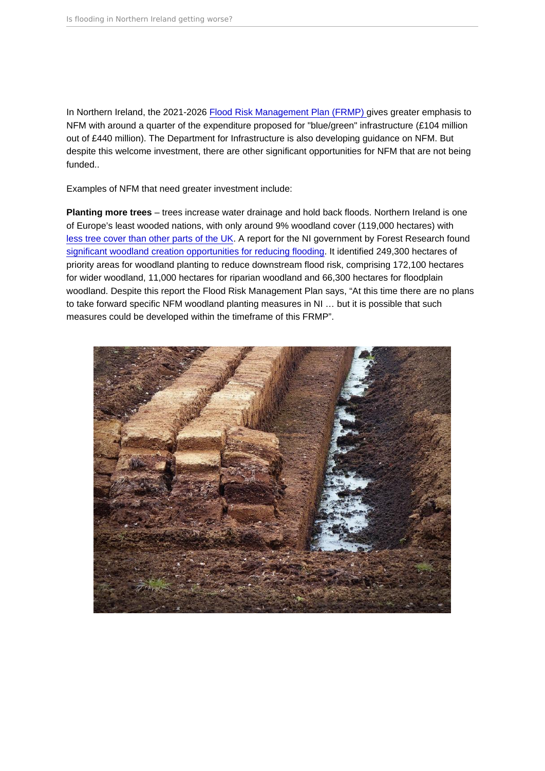In Northern Ireland, the 2021-2026 [Flood Risk Management Plan \(FRMP\) g](https://www.infrastructure-ni.gov.uk/sites/default/files/publications/infrastructure/second-cycle-northern-ireland-frmp-2021-2027.pdf)ives greater emphasis to NFM with around a quarter of the expenditure proposed for "blue/green" infrastructure (£104 million out of £440 million). The Department for Infrastructure is also developing guidance on NFM. But despite this welcome investment, there are other significant opportunities for NFM that are not being funded..

Examples of NFM that need greater investment include:

Planting more trees – trees increase water drainage and hold back floods. Northern Ireland is one of Europe's least wooded nations, with only around 9% woodland cover (119,000 hectares) with [less tree cover than other parts of the UK.](https://www.forestresearch.gov.uk/tools-and-resources/statistics/statistics-by-topic/woodland-statistics/) A report for the NI government by Forest Research found [significant woodland creation opportunities for reducing flooding](https://www.daera-ni.gov.uk/sites/default/files/publications/daera/Northern Ireland OM Report March 2017.pdf). It identified 249,300 hectares of priority areas for woodland planting to reduce downstream flood risk, comprising 172,100 hectares for wider woodland, 11,000 hectares for riparian woodland and 66,300 hectares for floodplain woodland. Despite this report the Flood Risk Management Plan says, "At this time there are no plans to take forward specific NFM woodland planting measures in NI … but it is possible that such measures could be developed within the timeframe of this FRMP".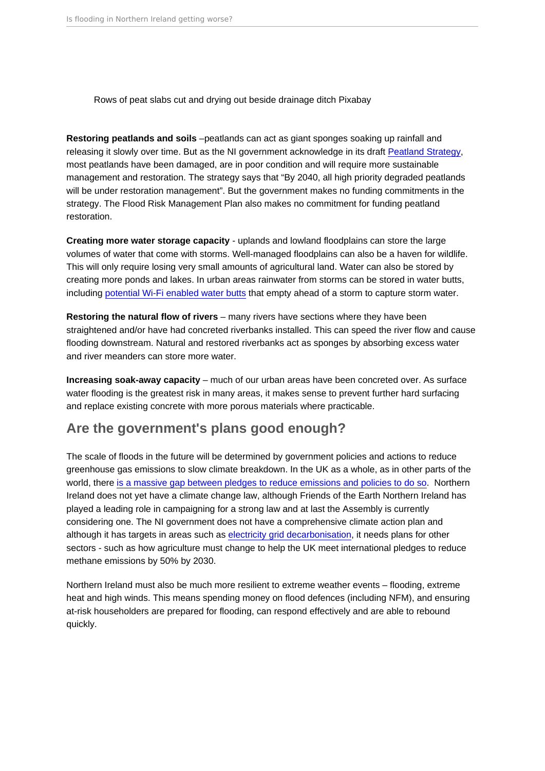<span id="page-6-0"></span>Rows of peat slabs cut and drying out beside drainage ditch Pixabay

Restoring peatlands and soils –peatlands can act as giant sponges soaking up rainfall and releasing it slowly over time. But as the NI government acknowledge in its draft [Peatland Strategy](https://www.daera-ni.gov.uk/sites/default/files/consultations/daera/Northern Ireland Peatland Strategy 2021-2040. Consultation Document.pdf), most peatlands have been damaged, are in poor condition and will require more sustainable management and restoration. The strategy says that "By 2040, all high priority degraded peatlands will be under restoration management". But the government makes no funding commitments in the strategy. The Flood Risk Management Plan also makes no commitment for funding peatland restoration.

Creating more water storage capacity - uplands and lowland floodplains can store the large volumes of water that come with storms. Well-managed floodplains can also be a haven for wildlife. This will only require losing very small amounts of agricultural land. Water can also be stored by creating more ponds and lakes. In urban areas rainwater from storms can be stored in water butts, including [potential Wi-Fi enabled water butts](https://www.waterindustryjournal.co.uk/connected-stormwater-management-with-smart-water-butts) that empty ahead of a storm to capture storm water.

Restoring the natural flow of rivers  $-$  many rivers have sections where they have been straightened and/or have had concreted riverbanks installed. This can speed the river flow and cause flooding downstream. Natural and restored riverbanks act as sponges by absorbing excess water and river meanders can store more water.

Increasing soak-away capacity – much of our urban areas have been concreted over. As surface water flooding is the greatest risk in many areas, it makes sense to prevent further hard surfacing and replace existing concrete with more porous materials where practicable.

## Are the government's plans good enough?

The scale of floods in the future will be determined by government policies and actions to reduce greenhouse gas emissions to slow climate breakdown. In the UK as a whole, as in other parts of the world, there [is a massive gap between pledges to reduce emissions and policies to do so](https://policy.friendsoftheearth.uk/insight/tackling-climate-breakdown-how-do-government-strategies-measure). Northern Ireland does not yet have a climate change law, although Friends of the Earth Northern Ireland has played a leading role in campaigning for a strong law and at last the Assembly is currently considering one. The NI government does not have a comprehensive climate action plan and although it has targets in areas such as [electricity grid decarbonisation,](https://www.bbc.co.uk/news/uk-northern-ireland-59691426) it needs plans for other sectors - such as how agriculture must change to help the UK meet international pledges to reduce methane emissions by 50% by 2030.

Northern Ireland must also be much more resilient to extreme weather events – flooding, extreme heat and high winds. This means spending money on flood defences (including NFM), and ensuring at-risk householders are prepared for flooding, can respond effectively and are able to rebound quickly.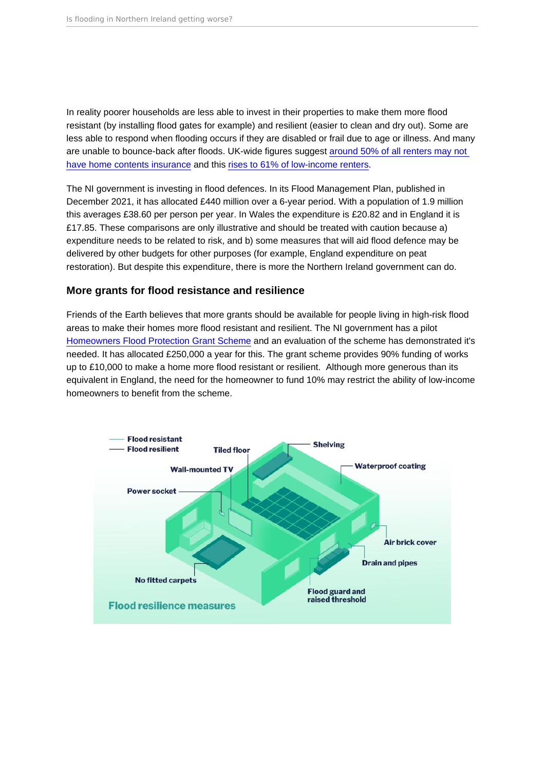In reality poorer households are less able to invest in their properties to make them more flood resistant (by installing flood gates for example) and resilient (easier to clean and dry out). Some are less able to respond when flooding occurs if they are disabled or frail due to age or illness. And many are unable to bounce-back after floods. UK-wide figures suggest [around 50% of all renters may not](https://www.nationwidemediacentre.co.uk/news/half-of-renters-have-no-home-insurance-in-place-despite-average-gbp-25k-value-of-contents)  [have home contents insurance](https://www.nationwidemediacentre.co.uk/news/half-of-renters-have-no-home-insurance-in-place-despite-average-gbp-25k-value-of-contents) and this [rises to 61% of low-income renters.](https://www.gov.uk/government/news/prepare-for-flooding-to-reduce-impacts-on-mental-health)

The NI government is investing in flood defences. In its Flood Management Plan, published in December 2021, it has allocated £440 million over a 6-year period. With a population of 1.9 million this averages £38.60 per person per year. In Wales the expenditure is £20.82 and in England it is £17.85. These comparisons are only illustrative and should be treated with caution because a) expenditure needs to be related to risk, and b) some measures that will aid flood defence may be delivered by other budgets for other purposes (for example, England expenditure on peat restoration). But despite this expenditure, there is more the Northern Ireland government can do.

#### More grants for flood resistance and resilience

Friends of the Earth believes that more grants should be available for people living in high-risk flood areas to make their homes more flood resistant and resilient. The NI government has a pilot [Homeowners Flood Protection Grant Scheme](https://www.infrastructure-ni.gov.uk/articles/homeowner-flood-protection-grant-scheme) and an evaluation of the scheme has demonstrated it's needed. It has allocated £250,000 a year for this. The grant scheme provides 90% funding of works up to £10,000 to make a home more flood resistant or resilient. Although more generous than its equivalent in England, the need for the homeowner to fund 10% may restrict the ability of low-income homeowners to benefit from the scheme.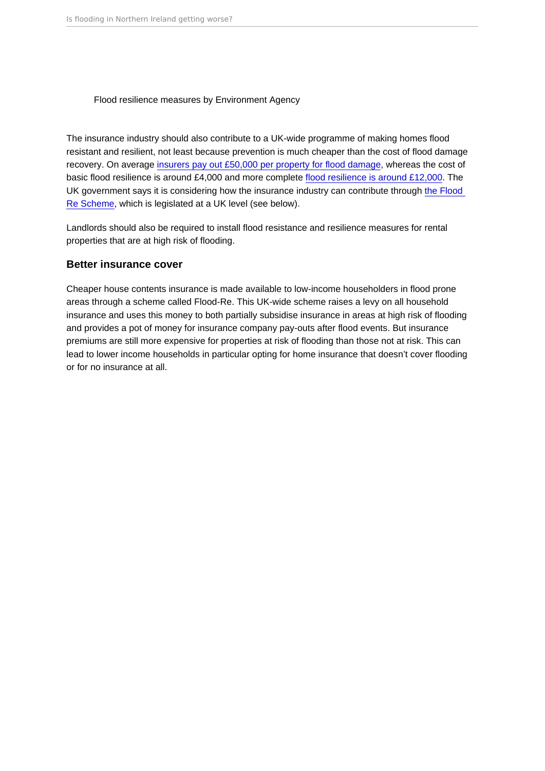#### Flood resilience measures by Environment Agency

The insurance industry should also contribute to a UK-wide programme of making homes flood resistant and resilient, not least because prevention is much cheaper than the cost of flood damage recovery. On average [insurers pay out £50,000 per property for flood damage](https://www.cii.co.uk/news-insight/insight/articles/defra-flood-resilience-and-resistance-grant/97817), whereas the cost of basic flood resilience is around £4,000 and more complete [flood resilience is around £12,000](https://assets.publishing.service.gov.uk/media/6034eec5e90e076607c1bf3b/Cost_estimation_for_household_flood_resistance_and_resilience_measures.pdf). The UK government says it is considering how the insurance industry can contribute through [the Flood](https://assets.publishing.service.gov.uk/government/uploads/system/uploads/attachment_data/file/1006738/flood-re-consultation-summary-of-responses.pdf)  [Re Scheme,](https://assets.publishing.service.gov.uk/government/uploads/system/uploads/attachment_data/file/1006738/flood-re-consultation-summary-of-responses.pdf) which is legislated at a UK level (see below).

Landlords should also be required to install flood resistance and resilience measures for rental properties that are at high risk of flooding.

#### Better insurance cover

Cheaper house contents insurance is made available to low-income householders in flood prone areas through a scheme called Flood-Re. This UK-wide scheme raises a levy on all household insurance and uses this money to both partially subsidise insurance in areas at high risk of flooding and provides a pot of money for insurance company pay-outs after flood events. But insurance premiums are still more expensive for properties at risk of flooding than those not at risk. This can lead to lower income households in particular opting for home insurance that doesn't cover flooding or for no insurance at all.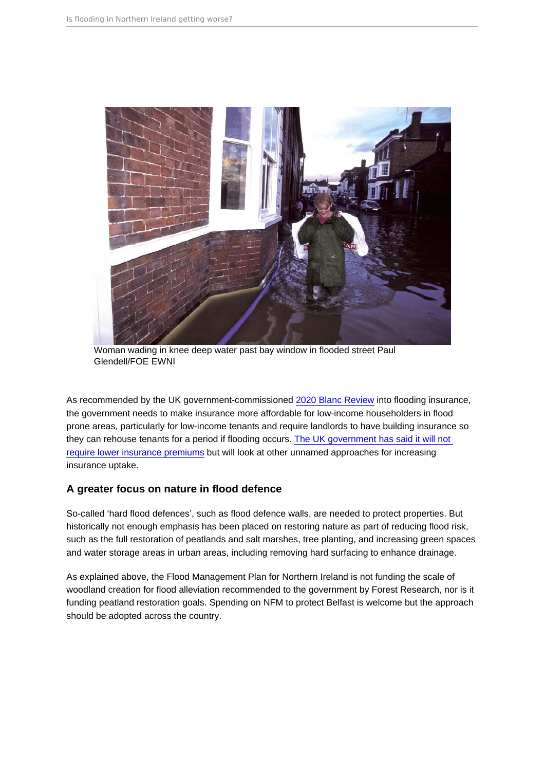Woman wading in knee deep water past bay window in flooded street Paul Glendell/FOE EWNI

As recommended by the UK government-commissioned [2020 Blanc Review](https://assets.publishing.service.gov.uk/government/uploads/system/uploads/attachment_data/file/932523/review-flood-insurance-doncaster.pdf) into flooding insurance, the government needs to make insurance more affordable for low-income householders in flood prone areas, particularly for low-income tenants and require landlords to have building insurance so they can rehouse tenants for a period if flooding occurs. [The UK government has said it will not](https://assets.publishing.service.gov.uk/government/uploads/system/uploads/attachment_data/file/1006738/flood-re-consultation-summary-of-responses.pdf)  [require lower insurance premiums](https://assets.publishing.service.gov.uk/government/uploads/system/uploads/attachment_data/file/1006738/flood-re-consultation-summary-of-responses.pdf) but will look at other unnamed approaches for increasing insurance uptake.

### A greater focus on nature in flood defence

So-called 'hard flood defences', such as flood defence walls, are needed to protect properties. But historically not enough emphasis has been placed on restoring nature as part of reducing flood risk, such as the full restoration of peatlands and salt marshes, tree planting, and increasing green spaces and water storage areas in urban areas, including removing hard surfacing to enhance drainage.

As explained above, the Flood Management Plan for Northern Ireland is not funding the scale of woodland creation for flood alleviation recommended to the government by Forest Research, nor is it funding peatland restoration goals. Spending on NFM to protect Belfast is welcome but the approach should be adopted across the country.